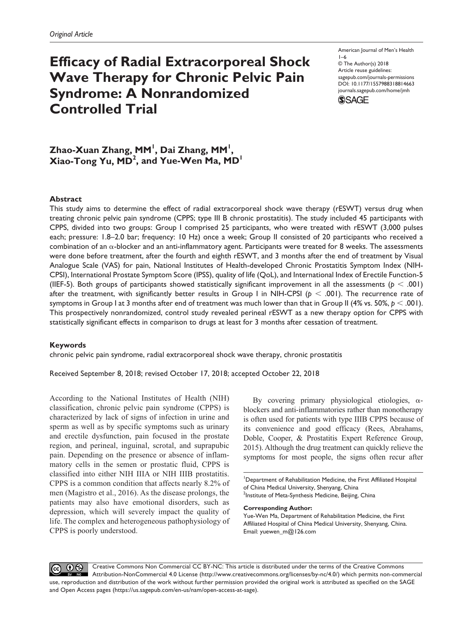# **Efficacy of Radial Extracorporeal Shock Wave Therapy for Chronic Pelvic Pain Syndrome: A Nonrandomized Controlled Trial**

American Journal of Men's Health 1–6 © The Author(s) 2018 Article reuse guidelines: [sagepub.com/journals-permissions](https://us.sagepub.com/en-us/journals-permissions) https://doi.org/10.1177/1557988318814663 DOI: 10.1177/1557988318814663 [journals.sagepub.com/home/jmh](http://journals.sagepub.com/home/jmh) **SSAGE** 

**Zhao-Xuan Zhang, MM1 , Dai Zhang, MM1 , Xiao-Tong Yu, MD2 , and Yue-Wen Ma, MD1**

#### **Abstract**

This study aims to determine the effect of radial extracorporeal shock wave therapy (rESWT) versus drug when treating chronic pelvic pain syndrome (CPPS; type III B chronic prostatitis). The study included 45 participants with CPPS, divided into two groups: Group I comprised 25 participants, who were treated with rESWT (3,000 pulses each; pressure: 1.8–2.0 bar; frequency: 10 Hz) once a week; Group II consisted of 20 participants who received a combination of an  $\alpha$ -blocker and an anti-inflammatory agent. Participants were treated for 8 weeks. The assessments were done before treatment, after the fourth and eighth rESWT, and 3 months after the end of treatment by Visual Analogue Scale (VAS) for pain, National Institutes of Health-developed Chronic Prostatitis Symptom Index (NIH-CPSI), International Prostate Symptom Score (IPSS), quality of life (QoL), and International Index of Erectile Function-5 (IIEF-5). Both groups of participants showed statistically significant improvement in all the assessments ( $p < .001$ ) after the treatment, with significantly better results in Group I in NIH-CPSI ( $p < .001$ ). The recurrence rate of symptoms in Group I at 3 months after end of treatment was much lower than that in Group II (4% vs. 50%,  $p < .001$ ). This prospectively nonrandomized, control study revealed perineal rESWT as a new therapy option for CPPS with statistically significant effects in comparison to drugs at least for 3 months after cessation of treatment.

#### **Keywords**

chronic pelvic pain syndrome, radial extracorporeal shock wave therapy, chronic prostatitis

Received September 8, 2018; revised October 17, 2018; accepted October 22, 2018

According to the National Institutes of Health (NIH) classification, chronic pelvic pain syndrome (CPPS) is characterized by lack of signs of infection in urine and sperm as well as by specific symptoms such as urinary and erectile dysfunction, pain focused in the prostate region, and perineal, inguinal, scrotal, and suprapubic pain. Depending on the presence or absence of inflammatory cells in the semen or prostatic fluid, CPPS is classified into either NIH IIIA or NIH IIIB prostatitis. CPPS is a common condition that affects nearly 8.2% of men (Magistro et al., 2016). As the disease prolongs, the patients may also have emotional disorders, such as depression, which will severely impact the quality of life. The complex and heterogeneous pathophysiology of CPPS is poorly understood.

By covering primary physiological etiologies,  $α$ blockers and anti-inflammatories rather than monotherapy is often used for patients with type IIIB CPPS because of its convenience and good efficacy (Rees, Abrahams, Doble, Cooper, & Prostatitis Expert Reference Group, 2015). Although the drug treatment can quickly relieve the symptoms for most people, the signs often recur after

<sup>1</sup>Department of Rehabilitation Medicine, the First Affiliated Hospital of China Medical University, Shenyang, China  $^2$ Institute of Meta-Synthesis Medicine, Beijing, China

#### **Corresponding Author:**

Yue-Wen Ma, Department of Rehabilitation Medicine, the First Affiliated Hospital of China Medical University, Shenyang, China. Email: [yuewen\\_m@126.com](mailto:yuewen_m@126.com)

Creative Commons Non Commercial CC BY-NC: This article is distributed under the terms of the Creative Commons  $\odot$ Attribution-NonCommercial 4.0 License (http://www.creativecommons.org/licenses/by-nc/4.0/) which permits non-commercial use, reproduction and distribution of the work without further permission provided the original work is attributed as specified on the SAGE and Open Access pages (https://us.sagepub.com/en-us/nam/open-access-at-sage).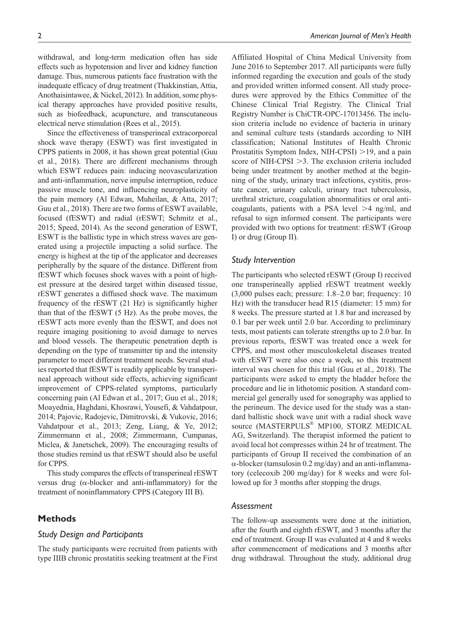withdrawal, and long-term medication often has side effects such as hypotension and liver and kidney function damage. Thus, numerous patients face frustration with the inadequate efficacy of drug treatment (Thakkinstian, Attia, Anothaisintawee, & Nickel, 2012). In addition, some physical therapy approaches have provided positive results, such as biofeedback, acupuncture, and transcutaneous electrical nerve stimulation (Rees et al., 2015).

Since the effectiveness of transperineal extracorporeal shock wave therapy (ESWT) was first investigated in CPPS patients in 2008, it has shown great potential (Guu et al., 2018). There are different mechanisms through which ESWT reduces pain: inducing neovascularization and anti-inflammation, nerve impulse interruption, reduce passive muscle tone, and influencing neuroplasticity of the pain memory (Al Edwan, Muheilan, & Atta, 2017; Guu et al., 2018). There are two forms of ESWT available, focused (fESWT) and radial (rESWT; Schmitz et al., 2015; Speed, 2014). As the second generation of ESWT, ESWT is the ballistic type in which stress waves are generated using a projectile impacting a solid surface. The energy is highest at the tip of the applicator and decreases peripherally by the square of the distance. Different from fESWT which focuses shock waves with a point of highest pressure at the desired target within diseased tissue, rESWT generates a diffused shock wave. The maximum frequency of the rESWT (21 Hz) is significantly higher than that of the fESWT (5 Hz). As the probe moves, the rESWT acts more evenly than the fESWT, and does not require imaging positioning to avoid damage to nerves and blood vessels. The therapeutic penetration depth is depending on the type of transmitter tip and the intensity parameter to meet different treatment needs. Several studies reported that fESWT is readily applicable by transperineal approach without side effects, achieving significant improvement of CPPS-related symptoms, particularly concerning pain (Al Edwan et al., 2017; Guu et al., 2018; Moayednia, Haghdani, Khosrawi, Yousefi, & Vahdatpour, 2014; Pajovic, Radojevic, Dimitrovski, & Vukovic, 2016; Vahdatpour et al., 2013; Zeng, Liang, & Ye, 2012; Zimmermann et al., 2008; Zimmermann, Cumpanas, Miclea, & Janetschek, 2009). The encouraging results of those studies remind us that rESWT should also be useful for CPPS.

This study compares the effects of transperineal rESWT versus drug (α-blocker and anti-inflammatory) for the treatment of noninflammatory CPPS (Category III B).

# **Methods**

## *Study Design and Participants*

The study participants were recruited from patients with type IIIB chronic prostatitis seeking treatment at the First Affiliated Hospital of China Medical University from June 2016 to September 2017. All participants were fully informed regarding the execution and goals of the study and provided written informed consent. All study procedures were approved by the Ethics Committee of the Chinese Clinical Trial Registry. The Clinical Trial Registry Number is ChiCTR-OPC-17013456. The inclusion criteria include no evidence of bacteria in urinary and seminal culture tests (standards according to NIH classification; National Institutes of Health Chronic Prostatitis Symptom Index, NIH-CPSI) >19, and a pain score of NIH-CPSI > 3. The exclusion criteria included being under treatment by another method at the beginning of the study, urinary tract infections, cystitis, prostate cancer, urinary calculi, urinary tract tuberculosis, urethral stricture, coagulation abnormalities or oral anticoagulants, patients with a PSA level  $>4$  ng/ml, and refusal to sign informed consent. The participants were provided with two options for treatment: rESWT (Group I) or drug (Group II).

#### *Study Intervention*

The participants who selected rESWT (Group I) received one transperineally applied rESWT treatment weekly (3,000 pulses each; pressure: 1.8–2.0 bar; frequency: 10 Hz) with the transducer head R15 (diameter: 15 mm) for 8 weeks. The pressure started at 1.8 bar and increased by 0.1 bar per week until 2.0 bar. According to preliminary tests, most patients can tolerate strengths up to 2.0 bar. In previous reports, fESWT was treated once a week for CPPS, and most other musculoskeletal diseases treated with rESWT were also once a week, so this treatment interval was chosen for this trial (Guu et al., 2018). The participants were asked to empty the bladder before the procedure and lie in lithotomic position. A standard commercial gel generally used for sonography was applied to the perineum. The device used for the study was a standard ballistic shock wave unit with a radial shock wave source (MASTERPULS® MP100, STORZ MEDICAL AG, Switzerland). The therapist informed the patient to avoid local hot compresses within 24 hr of treatment. The participants of Group II received the combination of an  $\alpha$ -blocker (tamsulosin 0.2 mg/day) and an anti-inflammatory (celecoxib 200 mg/day) for 8 weeks and were followed up for 3 months after stopping the drugs.

### *Assessment*

The follow-up assessments were done at the initiation, after the fourth and eighth rESWT, and 3 months after the end of treatment. Group II was evaluated at 4 and 8 weeks after commencement of medications and 3 months after drug withdrawal. Throughout the study, additional drug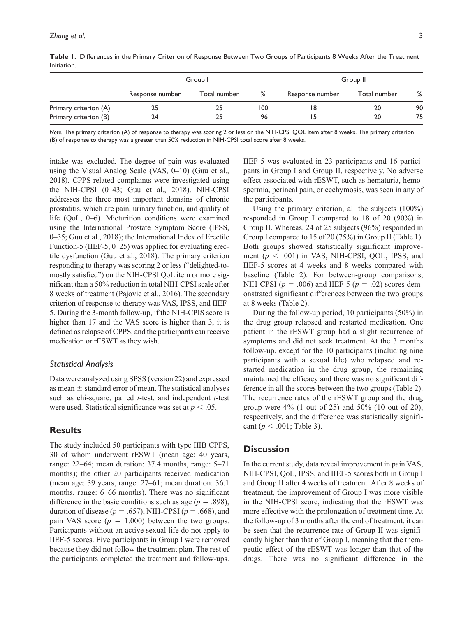|                       | Group I         |              |     | Group II        |              |    |  |
|-----------------------|-----------------|--------------|-----|-----------------|--------------|----|--|
|                       | Response number | Total number | %   | Response number | Total number | %  |  |
| Primary criterion (A) | 25              | 25           | 100 | 18              | 20           | 90 |  |
| Primary criterion (B) | 24              | 25           | 96  |                 | 20           | 75 |  |

**Table 1.** Differences in the Primary Criterion of Response Between Two Groups of Participants 8 Weeks After the Treatment Initiation.

*Note.* The primary criterion (A) of response to therapy was scoring 2 or less on the NIH-CPSI QOL item after 8 weeks. The primary criterion (B) of response to therapy was a greater than 50% reduction in NIH-CPSI total score after 8 weeks.

intake was excluded. The degree of pain was evaluated using the Visual Analog Scale (VAS, 0–10) (Guu et al., 2018). CPPS-related complaints were investigated using the NIH-CPSI (0–43; Guu et al., 2018). NIH-CPSI addresses the three most important domains of chronic prostatitis, which are pain, urinary function, and quality of life (QoL, 0–6). Micturition conditions were examined using the International Prostate Symptom Score (IPSS, 0–35; Guu et al., 2018); the International Index of Erectile Function-5 (IIEF-5, 0–25) was applied for evaluating erectile dysfunction (Guu et al., 2018). The primary criterion responding to therapy was scoring 2 or less ("delighted-tomostly satisfied") on the NIH-CPSI QoL item or more significant than a 50% reduction in total NIH-CPSI scale after 8 weeks of treatment (Pajovic et al., 2016). The secondary criterion of response to therapy was VAS, IPSS, and IIEF-5. During the 3-month follow-up, if the NIH-CPIS score is higher than 17 and the VAS score is higher than 3, it is defined as relapse of CPPS, and the participants can receive medication or rESWT as they wish.

## *Statistical Analysis*

Data were analyzed using SPSS (version 22) and expressed as mean  $\pm$  standard error of mean. The statistical analyses such as chi-square, paired *t*-test, and independent *t*-test were used. Statistical significance was set at  $p < .05$ .

# **Results**

The study included 50 participants with type IIIB CPPS, 30 of whom underwent rESWT (mean age: 40 years, range: 22–64; mean duration: 37.4 months, range: 5–71 months); the other 20 participants received medication (mean age: 39 years, range: 27–61; mean duration: 36.1 months, range: 6–66 months). There was no significant difference in the basic conditions such as age ( $p = .898$ ), duration of disease ( $p = .657$ ), NIH-CPSI ( $p = .668$ ), and pain VAS score  $(p = 1.000)$  between the two groups. Participants without an active sexual life do not apply to IIEF-5 scores. Five participants in Group I were removed because they did not follow the treatment plan. The rest of the participants completed the treatment and follow-ups.

IIEF-5 was evaluated in 23 participants and 16 participants in Group I and Group II, respectively. No adverse effect associated with rESWT, such as hematuria, hemospermia, perineal pain, or ecchymosis, was seen in any of the participants.

Using the primary criterion, all the subjects (100%) responded in Group I compared to 18 of 20 (90%) in Group II. Whereas, 24 of 25 subjects (96%) responded in Group I compared to 15 of 20 (75%) in Group II (Table 1). Both groups showed statistically significant improvement  $(p < .001)$  in VAS, NIH-CPSI, QOL, IPSS, and IIEF-5 scores at 4 weeks and 8 weeks compared with baseline (Table 2). For between-group comparisons, NIH-CPSI  $(p = .006)$  and IIEF-5  $(p = .02)$  scores demonstrated significant differences between the two groups at 8 weeks (Table 2).

During the follow-up period, 10 participants (50%) in the drug group relapsed and restarted medication. One patient in the rESWT group had a slight recurrence of symptoms and did not seek treatment. At the 3 months follow-up, except for the 10 participants (including nine participants with a sexual life) who relapsed and restarted medication in the drug group, the remaining maintained the efficacy and there was no significant difference in all the scores between the two groups (Table 2). The recurrence rates of the rESWT group and the drug group were 4% (1 out of 25) and 50% (10 out of 20), respectively, and the difference was statistically significant (*p* < .001; Table 3).

## **Discussion**

In the current study, data reveal improvement in pain VAS, NIH-CPSI, QoL, IPSS, and IIEF-5 scores both in Group I and Group II after 4 weeks of treatment. After 8 weeks of treatment, the improvement of Group I was more visible in the NIH-CPSI score, indicating that the rESWT was more effective with the prolongation of treatment time. At the follow-up of 3 months after the end of treatment, it can be seen that the recurrence rate of Group II was significantly higher than that of Group I, meaning that the therapeutic effect of the rESWT was longer than that of the drugs. There was no significant difference in the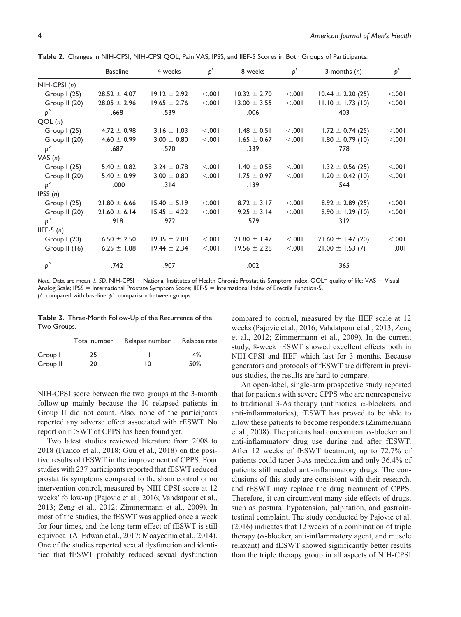|                  | <b>Baseline</b>  | 4 weeks          | $p^a$   | 8 weeks          | $p^a$  | 3 months $(n)$        | $p^a$   |
|------------------|------------------|------------------|---------|------------------|--------|-----------------------|---------|
| $NIH-CPSI(n)$    |                  |                  |         |                  |        |                       |         |
| Group $(25)$     | $28.52 \pm 4.07$ | $19.12 \pm 2.92$ | < 0.01  | $10.32 \pm 2.70$ | < 0.01 | $10.44 \pm 2.20(25)$  | < .001  |
| Group II (20)    | $28.05 \pm 2.96$ | $19.65 \pm 2.76$ | < 0.01  | $13.00 \pm 3.55$ | < .001 | $11.10 \pm 1.73$ (10) | < .001  |
| $p^{\rm b}$      | .668             | .539             |         | .006             |        | .403                  |         |
| QOL(n)           |                  |                  |         |                  |        |                       |         |
| Group $(25)$     | $4.72 \pm 0.98$  | $3.16 \pm 1.03$  | < 0.01  | $1.48 \pm 0.51$  | < 0.01 | $1.72 \pm 0.74$ (25)  | < .001  |
| Group II (20)    | $4.60 \pm 0.99$  | $3.00 \pm 0.80$  | < 0.01  | $1.65 \pm 0.67$  | < .001 | $1.80 \pm 0.79$ (10)  | < .001  |
| $p^{\rm b}$      | .687             | .570             |         | .339             |        | .778                  |         |
| VAS $(n)$        |                  |                  |         |                  |        |                       |         |
| Group $(25)$     | $5.40 \pm 0.82$  | $3.24 \pm 0.78$  | < 0.01  | $1.40 \pm 0.58$  | < 0.01 | $1.32 \pm 0.56$ (25)  | < 0.001 |
| Group II (20)    | $5.40 \pm 0.99$  | $3.00 \pm 0.80$  | < .001  | $1.75 \pm 0.97$  | < .001 | $1.20 \pm 0.42$ (10)  | < .001  |
| $p^{\rm b}$      | 1.000            | .314             |         | .139             |        | .544                  |         |
| IPSS $(n)$       |                  |                  |         |                  |        |                       |         |
| Group $(25)$     | $21.80 \pm 6.66$ | $15.40 \pm 5.19$ | < 0.001 | $8.72 \pm 3.17$  | < .001 | $8.92 \pm 2.89$ (25)  | < .001  |
| Group II (20)    | $21.60 \pm 6.14$ | $15.45 \pm 4.22$ | < 0.01  | $9.25 \pm 3.14$  | < .001 | $9.90 \pm 1.29$ (10)  | < 0.01  |
| $p^{\rm b}$      | .918             | .972             |         | .579             |        | .312                  |         |
| IIEF-5 $(n)$     |                  |                  |         |                  |        |                       |         |
| Group $(20)$     | $16.50 \pm 2.50$ | $19.35 \pm 2.08$ | < 0.01  | $21.80 \pm 1.47$ | < 0.01 | $21.60 \pm 1.47$ (20) | < 0.001 |
| Group II (16)    | $16.25 \pm 1.88$ | $19.44 \pm 2.34$ | < .001  | $19.56 \pm 2.28$ | < .001 | $21.00 \pm 1.53$ (7)  | .001    |
| $p^{\mathsf{b}}$ | .742             | .907             |         | .002             |        | .365                  |         |

**Table 2.** Changes in NIH-CPSI, NIH-CPSI QOL, Pain VAS, IPSS, and IIEF-5 Scores in Both Groups of Participants.

*Note.* Data are mean ± *SD*. NIH-CPSI = National Institutes of Health Chronic Prostatitis Symptom Index; QOL= quality of life; VAS = Visual Analog Scale; IPSS = International Prostate Symptom Score; IIEF-5 = International Index of Erectile Function-5.  $p^{\rm a}$ : compared with baseline.  $p^{\rm b}$ : comparison between groups.

**Table 3.** Three-Month Follow-Up of the Recurrence of the Two Groups.

|          | Total number | Relapse number | Relapse rate |
|----------|--------------|----------------|--------------|
| Group I  | 25           |                | 4%           |
| Group II | 20           | 10             | 50%          |

NIH-CPSI score between the two groups at the 3-month follow-up mainly because the 10 relapsed patients in Group II did not count. Also, none of the participants reported any adverse effect associated with rESWT. No report on rESWT of CPPS has been found yet.

Two latest studies reviewed literature from 2008 to 2018 (Franco et al., 2018; Guu et al., 2018) on the positive results of fESWT in the improvement of CPPS. Four studies with 237 participants reported that fESWT reduced prostatitis symptoms compared to the sham control or no intervention control, measured by NIH-CPSI score at 12 weeks' follow-up (Pajovic et al., 2016; Vahdatpour et al., 2013; Zeng et al., 2012; Zimmermann et al., 2009). In most of the studies, the fESWT was applied once a week for four times, and the long-term effect of fESWT is still equivocal (Al Edwan et al., 2017; Moayednia et al., 2014). One of the studies reported sexual dysfunction and identified that fESWT probably reduced sexual dysfunction compared to control, measured by the IIEF scale at 12 weeks (Pajovic et al., 2016; Vahdatpour et al., 2013; Zeng et al., 2012; Zimmermann et al., 2009). In the current study, 8-week rESWT showed excellent effects both in NIH-CPSI and IIEF which last for 3 months. Because generators and protocols of fESWT are different in previous studies, the results are hard to compare.

An open-label, single-arm prospective study reported that for patients with severe CPPS who are nonresponsive to traditional 3-As therapy (antibiotics, α-blockers, and anti-inflammatories), fESWT has proved to be able to allow these patients to become responders (Zimmermann et al., 2008). The patients had concomitant  $\alpha$ -blocker and anti-inflammatory drug use during and after fESWT. After 12 weeks of fESWT treatment, up to 72.7% of patients could taper 3-As medication and only 36.4% of patients still needed anti-inflammatory drugs. The conclusions of this study are consistent with their research, and rESWT may replace the drug treatment of CPPS. Therefore, it can circumvent many side effects of drugs, such as postural hypotension, palpitation, and gastrointestinal complaint. The study conducted by Pajovic et al. (2016) indicates that 12 weeks of a combination of triple therapy ( $\alpha$ -blocker, anti-inflammatory agent, and muscle relaxant) and fESWT showed significantly better results than the triple therapy group in all aspects of NIH-CPSI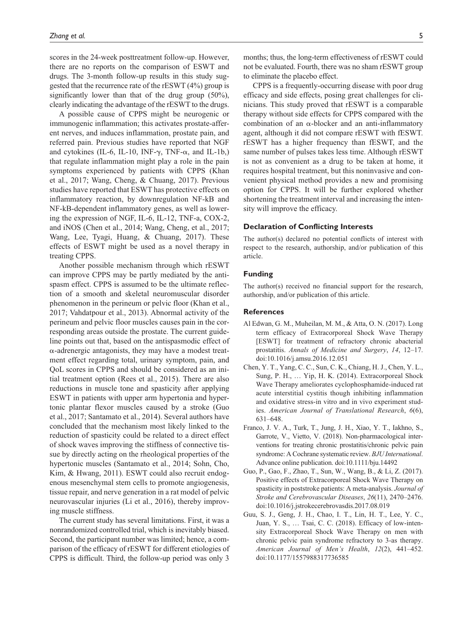scores in the 24-week posttreatment follow-up. However, there are no reports on the comparison of ESWT and drugs. The 3-month follow-up results in this study suggested that the recurrence rate of the rESWT (4%) group is significantly lower than that of the drug group (50%), clearly indicating the advantage of the rESWT to the drugs.

A possible cause of CPPS might be neurogenic or immunogenic inflammation; this activates prostate-afferent nerves, and induces inflammation, prostate pain, and referred pain. Previous studies have reported that NGF and cytokines (IL-6, IL-10, INF- $\gamma$ , TNF- $\alpha$ , and IL-1b,) that regulate inflammation might play a role in the pain symptoms experienced by patients with CPPS (Khan et al., 2017; Wang, Cheng, & Chuang, 2017). Previous studies have reported that ESWT has protective effects on inflammatory reaction, by downregulation NF-kB and NF-kB-dependent inflammatory genes, as well as lowering the expression of NGF, IL-6, IL-12, TNF-a, COX-2, and iNOS (Chen et al., 2014; Wang, Cheng, et al., 2017; Wang, Lee, Tyagi, Huang, & Chuang, 2017). These effects of ESWT might be used as a novel therapy in treating CPPS.

Another possible mechanism through which rESWT can improve CPPS may be partly mediated by the antispasm effect. CPPS is assumed to be the ultimate reflection of a smooth and skeletal neuromuscular disorder phenomenon in the perineum or pelvic floor (Khan et al., 2017; Vahdatpour et al., 2013). Abnormal activity of the perineum and pelvic floor muscles causes pain in the corresponding areas outside the prostate. The current guideline points out that, based on the antispasmodic effect of  $\alpha$ -adrenergic antagonists, they may have a modest treatment effect regarding total, urinary symptom, pain, and QoL scores in CPPS and should be considered as an initial treatment option (Rees et al., 2015). There are also reductions in muscle tone and spasticity after applying ESWT in patients with upper arm hypertonia and hypertonic plantar flexor muscles caused by a stroke (Guo et al., 2017; Santamato et al., 2014). Several authors have concluded that the mechanism most likely linked to the reduction of spasticity could be related to a direct effect of shock waves improving the stiffness of connective tissue by directly acting on the rheological properties of the hypertonic muscles (Santamato et al., 2014; Sohn, Cho, Kim, & Hwang, 2011). ESWT could also recruit endogenous mesenchymal stem cells to promote angiogenesis, tissue repair, and nerve generation in a rat model of pelvic neurovascular injuries (Li et al., 2016), thereby improving muscle stiffness.

The current study has several limitations. First, it was a nonrandomized controlled trial, which is inevitably biased. Second, the participant number was limited; hence, a comparison of the efficacy of rESWT for different etiologies of CPPS is difficult. Third, the follow-up period was only 3

months; thus, the long-term effectiveness of rESWT could not be evaluated. Fourth, there was no sham rESWT group to eliminate the placebo effect.

CPPS is a frequently-occurring disease with poor drug efficacy and side effects, posing great challenges for clinicians. This study proved that rESWT is a comparable therapy without side effects for CPPS compared with the combination of an  $\alpha$ -blocker and an anti-inflammatory agent, although it did not compare rESWT with fESWT. rESWT has a higher frequency than fESWT, and the same number of pulses takes less time. Although rESWT is not as convenient as a drug to be taken at home, it requires hospital treatment, but this noninvasive and convenient physical method provides a new and promising option for CPPS. It will be further explored whether shortening the treatment interval and increasing the intensity will improve the efficacy.

## **Declaration of Conflicting Interests**

The author(s) declared no potential conflicts of interest with respect to the research, authorship, and/or publication of this article.

#### **Funding**

The author(s) received no financial support for the research, authorship, and/or publication of this article.

#### **References**

- Al Edwan, G. M., Muheilan, M. M., & Atta, O. N. (2017). Long term efficacy of Extracorporeal Shock Wave Therapy [ESWT] for treatment of refractory chronic abacterial prostatitis. *Annals of Medicine and Surgery*, *14*, 12–17. doi:10.1016/j.amsu.2016.12.051
- Chen, Y. T., Yang, C. C., Sun, C. K., Chiang, H. J., Chen, Y. L., Sung, P. H., … Yip, H. K. (2014). Extracorporeal Shock Wave Therapy ameliorates cyclophosphamide-induced rat acute interstitial cystitis though inhibiting inflammation and oxidative stress-in vitro and in vivo experiment studies. *American Journal of Translational Research*, *6*(6), 631–648.
- Franco, J. V. A., Turk, T., Jung, J. H., Xiao, Y. T., Iakhno, S., Garrote, V., Vietto, V. (2018). Non-pharmacological interventions for treating chronic prostatitis/chronic pelvic pain syndrome: A Cochrane systematic review. *BJU International*. Advance online publication. doi:10.1111/bju.14492
- Guo, P., Gao, F., Zhao, T., Sun, W., Wang, B., & Li, Z. (2017). Positive effects of Extracorporeal Shock Wave Therapy on spasticity in poststroke patients: A meta-analysis. *Journal of Stroke and Cerebrovascular Diseases*, *26*(11), 2470–2476. doi:10.1016/j.jstrokecerebrovasdis.2017.08.019
- Guu, S. J., Geng, J. H., Chao, I. T., Lin, H. T., Lee, Y. C., Juan, Y. S., … Tsai, C. C. (2018). Efficacy of low-intensity Extracorporeal Shock Wave Therapy on men with chronic pelvic pain syndrome refractory to 3-as therapy. *American Journal of Men's Health*, *12*(2), 441–452. doi:10.1177/1557988317736585